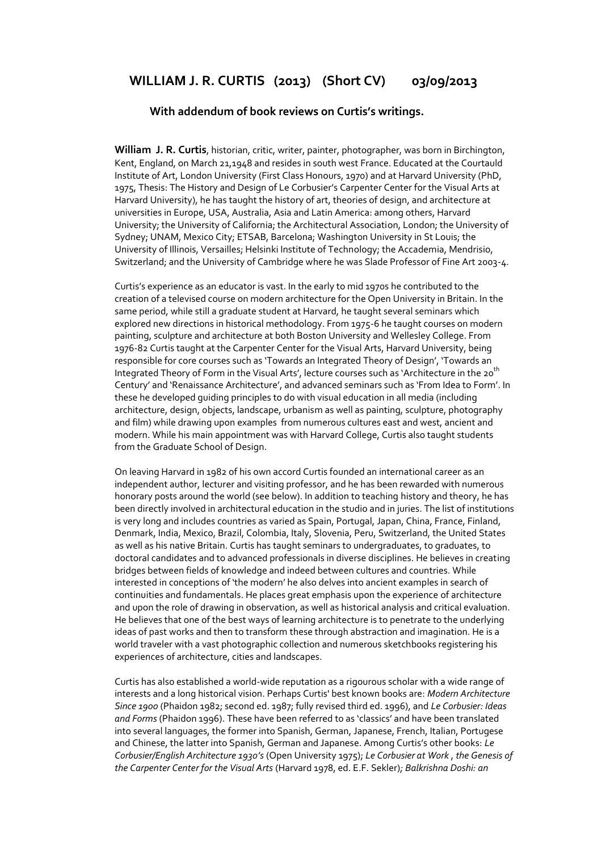# **WILLIAM J. R. CURTIS (2013) (Short CV) 03/09/2013**

### **With addendum of book reviews on Curtis's writings.**

**William J. R. Curtis**, historian, critic, writer, painter, photographer, was born in Birchington, Kent, England, on March 21,1948 and resides in south west France. Educated at the Courtauld Institute of Art, London University (First Class Honours, 1970) and at Harvard University (PhD, 1975, Thesis: The History and Design of Le Corbusier's Carpenter Center for the Visual Arts at Harvard University), he has taught the history of art, theories of design, and architecture at universities in Europe, USA, Australia, Asia and Latin America: among others, Harvard University; the University of California; the Architectural Association, London; the University of Sydney; UNAM, Mexico City; ETSAB, Barcelona; Washington University in St Louis; the University of Illinois, Versailles; Helsinki Institute of Technology; the Accademia, Mendrisio, Switzerland; and the University of Cambridge where he was Slade Professor of Fine Art 2003-4.

Curtis's experience as an educator is vast. In the early to mid 1970s he contributed to the creation of a televised course on modern architecture for the Open University in Britain. In the same period, while still a graduate student at Harvard, he taught several seminars which explored new directions in historical methodology. From 1975-6 he taught courses on modern painting, sculpture and architecture at both Boston University and Wellesley College. From 1976-82 Curtis taught at the Carpenter Center for the Visual Arts, Harvard University, being responsible for core courses such as 'Towards an Integrated Theory of Design', 'Towards an Integrated Theory of Form in the Visual Arts', lecture courses such as 'Architecture in the 20<sup>th</sup> Century' and 'Renaissance Architecture', and advanced seminars such as 'From Idea to Form'. In these he developed guiding principles to do with visual education in all media (including architecture, design, objects, landscape, urbanism as well as painting, sculpture, photography and film) while drawing upon examples from numerous cultures east and west, ancient and modern. While his main appointment was with Harvard College, Curtis also taught students from the Graduate School of Design.

On leaving Harvard in 1982 of his own accord Curtis founded an international career as an independent author, lecturer and visiting professor, and he has been rewarded with numerous honorary posts around the world (see below). In addition to teaching history and theory, he has been directly involved in architectural education in the studio and in juries. The list of institutions is very long and includes countries as varied as Spain, Portugal, Japan, China, France, Finland, Denmark, India, Mexico, Brazil, Colombia, Italy, Slovenia, Peru, Switzerland, the United States as well as his native Britain. Curtis has taught seminars to undergraduates, to graduates, to doctoral candidates and to advanced professionals in diverse disciplines. He believes in creating bridges between fields of knowledge and indeed between cultures and countries. While interested in conceptions of 'the modern' he also delves into ancient examples in search of continuities and fundamentals. He places great emphasis upon the experience of architecture and upon the role of drawing in observation, as well as historical analysis and critical evaluation. He believes that one of the best ways of learning architecture is to penetrate to the underlying ideas of past works and then to transform these through abstraction and imagination. He is a world traveler with a vast photographic collection and numerous sketchbooks registering his experiences of architecture, cities and landscapes.

Curtis has also established a world-wide reputation as a rigourous scholar with a wide range of interests and a long historical vision. Perhaps Curtis' best known books are: *Modern Architecture Since 1900* (Phaidon 1982; second ed. 1987; fully revised third ed. 1996), and *Le Corbusier: Ideas and Forms* (Phaidon 1996). These have been referred to as 'classics' and have been translated into several languages, the former into Spanish, German, Japanese, French, Italian, Portugese and Chinese, the latter into Spanish, German and Japanese. Among Curtis's other books: *Le Corbusier/English Architecture 1930's* (Open University 1975); *Le Corbusier at Work* , *the Genesis of the Carpenter Center for the Visual Arts* (Harvard 1978, ed. E.F. Sekler)*; Balkrishna Doshi: an*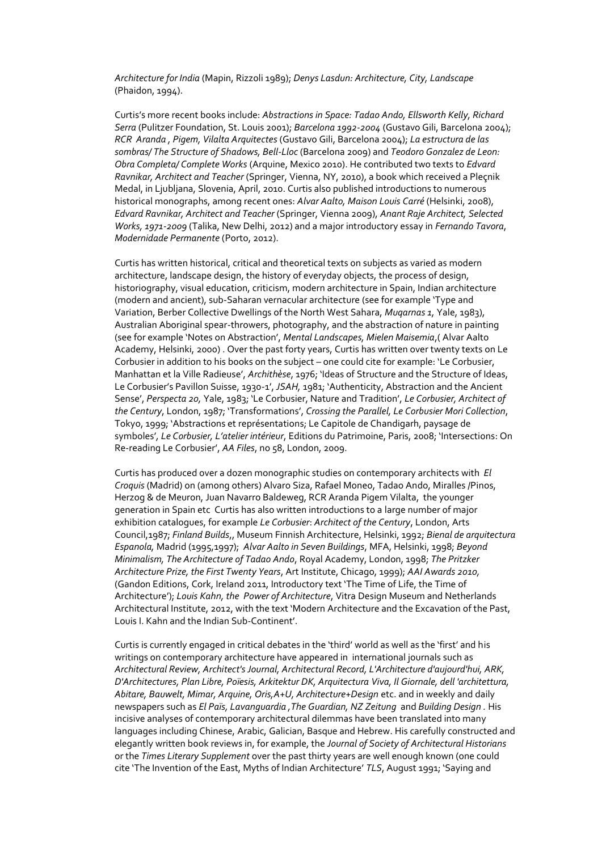*Architecture for India* (Mapin, Rizzoli 1989); *Denys Lasdun: Architecture, City, Landscape* (Phaidon, 1994).

Curtis's more recent books include: *Abstractions in Space: Tadao Ando, Ellsworth Kelly, Richard Serra* (Pulitzer Foundation, St. Louis 2001); *Barcelona 1992-2004* (Gustavo Gili, Barcelona 2004); *RCR Aranda , Pigem, Vilalta Arquitectes* (Gustavo Gili, Barcelona 2004); *La estructura de las sombras/ The Structure of Shadows, Bell-Lloc* (Barcelona 2009) and *Teodoro Gonzalez de Leon: Obra Completa/ Complete Works* (Arquine, Mexico 2010). He contributed two texts to *Edvard Ravnikar, Architect and Teacher* (Springer, Vienna, NY, 2010), a book which received a Pleçnik Medal, in Ljubljana, Slovenia, April, 2010. Curtis also published introductions to numerous historical monographs, among recent ones: *Alvar Aalto, Maison Louis Carré* (Helsinki, 2008), *Edvard Ravnikar, Architect and Teacher* (Springer, Vienna 2009), *Anant Raje Architect, Selected Works, 1971-2009* (Talika, New Delhi, 2012) and a major introductory essay in *Fernando Tavora*, *Modernidade Permanente* (Porto, 2012).

Curtis has written historical, critical and theoretical texts on subjects as varied as modern architecture, landscape design, the history of everyday objects, the process of design, historiography, visual education, criticism, modern architecture in Spain, Indian architecture (modern and ancient), sub-Saharan vernacular architecture (see for example 'Type and Variation, Berber Collective Dwellings of the North West Sahara, *Muqarnas 1,* Yale, 1983), Australian Aboriginal spear-throwers, photography, and the abstraction of nature in painting (see for example 'Notes on Abstraction', *Mental Landscapes, Mielen Maisemia*,( Alvar Aalto Academy, Helsinki, 2000) . Over the past forty years, Curtis has written over twenty texts on Le Corbusier in addition to his books on the subject – one could cite for example: 'Le Corbusier, Manhattan et la Ville Radieuse', *Archithèse*, 1976; 'Ideas of Structure and the Structure of Ideas, Le Corbusier's Pavillon Suisse, 1930-1', *JSAH,* 1981; 'Authenticity, Abstraction and the Ancient Sense', *Perspecta 20,* Yale, 1983; 'Le Corbusier, Nature and Tradition', *Le Corbusier, Architect of the Century*, London, 1987; 'Transformations', *Crossing the Parallel, Le Corbusier Mori Collection*, Tokyo, 1999; 'Abstractions et représentations; Le Capitole de Chandigarh, paysage de symboles'*, Le Corbusier, L'atelier intérieur*, Editions du Patrimoine, Paris, 2008; 'Intersections: On Re-reading Le Corbusier', *AA Files*, no 58, London, 2009.

Curtis has produced over a dozen monographic studies on contemporary architects with *El Croquis* (Madrid) on (among others) Alvaro Siza, Rafael Moneo, Tadao Ando, Miralles /Pinos, Herzog & de Meuron, Juan Navarro Baldeweg, RCR Aranda Pigem Vilalta, the younger generation in Spain etc Curtis has also written introductions to a large number of major exhibition catalogues, for example *Le Corbusier*: *Architect of the Century*, London, Arts Council,1987; *Finland Builds*,, Museum Finnish Architecture, Helsinki, 1992; *Bienal de arquitectura Espanola,* Madrid (1995,1997); *Alvar Aalto in Seven Buildings*, MFA, Helsinki, 1998; *Beyond Minimalism, The Architecture of Tadao Ando*, Royal Academy, London, 1998; *The Pritzker Architecture Prize, the First Twenty Years*, Art Institute, Chicago, 1999); *AAI Awards 2010,*  (Gandon Editions, Cork, Ireland 2011, Introductory text 'The Time of Life, the Time of Architecture'); *Louis Kahn, the Power of Architecture*, Vitra Design Museum and Netherlands Architectural Institute, 2012, with the text 'Modern Architecture and the Excavation of the Past, Louis I. Kahn and the Indian Sub-Continent'.

Curtis is currently engaged in critical debates in the 'third' world as well as the 'first' and his writings on contemporary architecture have appeared in international journals such as *Architectural Review, Architect's Journal, Architectural Record, L'Architecture d'aujourd'hui, ARK, D'Architectures, Plan Libre, Poïesis, Arkitektur DK, Arquitectura Viva, Il Giornale, dell 'architettura, Abitare, Bauwelt, Mimar, Arquine, Oris,A+U, Architecture+Design* etc. and in weekly and daily newspapers such as *El Païs, Lavanguardia ,The Guardian, NZ Zeitung* and *Building Design .* His incisive analyses of contemporary architectural dilemmas have been translated into many languages including Chinese, Arabic, Galician, Basque and Hebrew. His carefully constructed and elegantly written book reviews in, for example, the *Journal of Society of Architectural Historians*  or the *Times Literary Supplement* over the past thirty years are well enough known (one could cite 'The Invention of the East, Myths of Indian Architecture' *TLS*, August 1991; 'Saying and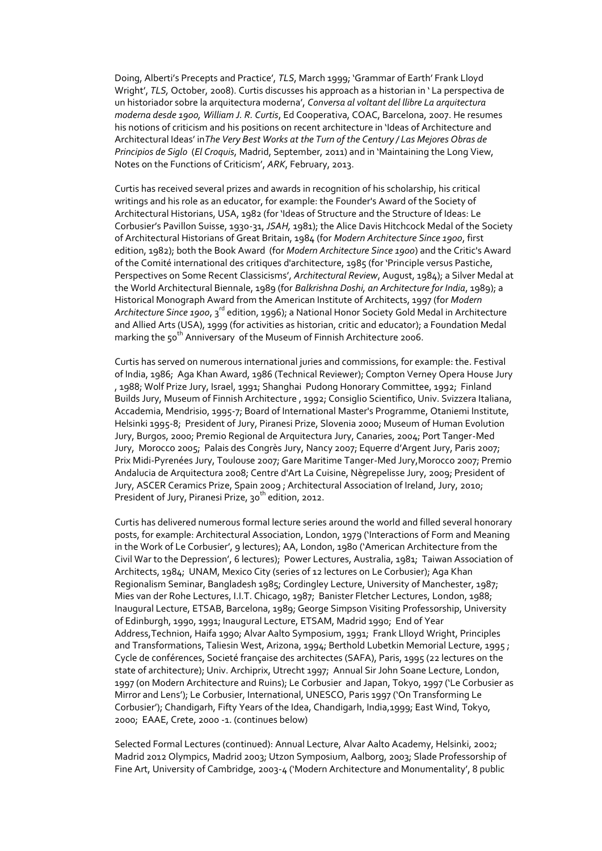Doing, Alberti's Precepts and Practice', *TLS*, March 1999; 'Grammar of Earth' Frank Lloyd Wright', *TLS,* October, 2008). Curtis discusses his approach as a historian in ' La perspectiva de un historiador sobre la arquitectura moderna', *Conversa al voltant del llibre La arquitectura moderna desde 1900, William J. R. Curtis*, Ed Cooperativa, COAC, Barcelona, 2007. He resumes his notions of criticism and his positions on recent architecture in 'Ideas of Architecture and Architectural Ideas' in*The Very Best Works at the Turn of the Century / Las Mejores Obras de Principios de Siglo* (*El Croquis*, Madrid, September, 2011) and in 'Maintaining the Long View, Notes on the Functions of Criticism', *ARK*, February, 2013.

Curtis has received several prizes and awards in recognition of his scholarship, his critical writings and his role as an educator, for example: the Founder's Award of the Society of Architectural Historians, USA, 1982 (for 'Ideas of Structure and the Structure of Ideas: Le Corbusier's Pavillon Suisse, 1930-31, *JSAH,* 1981); the Alice Davis Hitchcock Medal of the Society of Architectural Historians of Great Britain, 1984 (for *Modern Architecture Since 1900*, first edition, 1982); both the Book Award (for *Modern Architecture Since 1900*) and the Critic's Award of the Comité international des critiques d'architecture, 1985 (for 'Principle versus Pastiche, Perspectives on Some Recent Classicisms', *Architectural Review*, August, 1984); a Silver Medal at the World Architectural Biennale, 1989 (for *Balkrishna Doshi, an Architecture for India*, 1989); a Historical Monograph Award from the American Institute of Architects, 1997 (for *Modern*  A*rchitecture Since 1900*, 3<sup>rd</sup> edition, 1996); a National Honor Society Gold Medal in Architecture and Allied Arts (USA), 1999 (for activities as historian, critic and educator); a Foundation Medal marking the 50<sup>th</sup> Anniversary of the Museum of Finnish Architecture 2006.

Curtis has served on numerous international juries and commissions, for example: the. Festival of India, 1986; Aga Khan Award, 1986 (Technical Reviewer); Compton Verney Opera House Jury , 1988; Wolf Prize Jury, Israel, 1991; Shanghai Pudong Honorary Committee, 1992; Finland Builds Jury, Museum of Finnish Architecture , 1992; Consiglio Scientifico, Univ. Svizzera Italiana, Accademia, Mendrisio, 1995-7; Board of International Master's Programme, Otaniemi Institute, Helsinki 1995-8; President of Jury, Piranesi Prize, Slovenia 2000; Museum of Human Evolution Jury, Burgos, 2000; Premio Regional de Arquitectura Jury, Canaries, 2004; Port Tanger-Med Jury, Morocco 2005; Palais des Congrès Jury, Nancy 2007; Equerre d'Argent Jury, Paris 2007; Prix Midi-Pyrenées Jury, Toulouse 2007; Gare Maritime Tanger-Med Jury,Morocco 2007; Premio Andalucia de Arquitectura 2008; Centre d'Art La Cuisine, Nègrepelisse Jury, 2009; President of Jury, ASCER Ceramics Prize, Spain 2009 ; Architectural Association of Ireland, Jury, 2010; President of Jury, Piranesi Prize, 30<sup>th</sup> edition, 2012.

Curtis has delivered numerous formal lecture series around the world and filled several honorary posts, for example: Architectural Association, London, 1979 ('Interactions of Form and Meaning in the Work of Le Corbusier', 9 lectures); AA, London, 1980 ('American Architecture from the Civil War to the Depression', 6 lectures); Power Lectures, Australia, 1981; Taiwan Association of Architects, 1984; UNAM, Mexico City (series of 12 lectures on Le Corbusier); Aga Khan Regionalism Seminar, Bangladesh 1985; Cordingley Lecture, University of Manchester, 1987; Mies van der Rohe Lectures, I.I.T. Chicago, 1987; Banister Fletcher Lectures, London, 1988; Inaugural Lecture, ETSAB, Barcelona, 1989; George Simpson Visiting Professorship, University of Edinburgh, 1990, 1991; Inaugural Lecture, ETSAM, Madrid 1990; End of Year Address,Technion, Haifa 1990; Alvar Aalto Symposium, 1991; Frank Llloyd Wright, Principles and Transformations, Taliesin West, Arizona, 1994; Berthold Lubetkin Memorial Lecture, 1995; Cycle de conférences, Societé française des architectes (SAFA), Paris, 1995 (22 lectures on the state of architecture); Univ. Archiprix, Utrecht 1997; Annual Sir John Soane Lecture, London, 1997 (on Modern Architecture and Ruins); Le Corbusier and Japan, Tokyo, 1997 ('Le Corbusier as Mirror and Lens'); Le Corbusier, International, UNESCO, Paris 1997 ('On Transforming Le Corbusier'); Chandigarh, Fifty Years of the Idea, Chandigarh, India,1999; East Wind, Tokyo, 2000; EAAE, Crete, 2000 -1. (continues below)

Selected Formal Lectures (continued): Annual Lecture, Alvar Aalto Academy, Helsinki, 2002; Madrid 2012 Olympics, Madrid 2003; Utzon Symposium, Aalborg, 2003; Slade Professorship of Fine Art, University of Cambridge, 2003-4 ('Modern Architecture and Monumentality', 8 public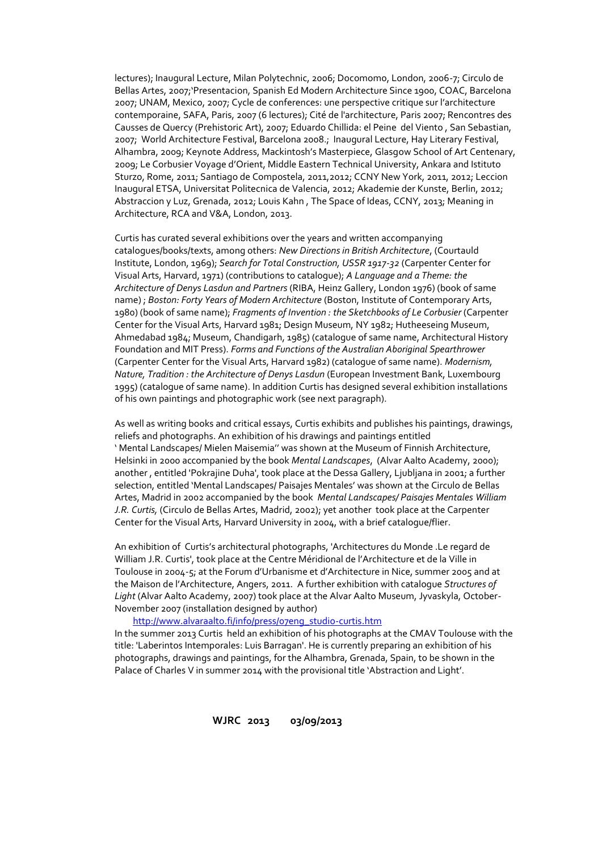lectures); Inaugural Lecture, Milan Polytechnic, 2006; Docomomo, London, 2006-7; Circulo de Bellas Artes, 2007;'Presentacion, Spanish Ed Modern Architecture Since 1900, COAC, Barcelona 2007; UNAM, Mexico, 2007; Cycle de conferences: une perspective critique sur l'architecture contemporaine, SAFA, Paris, 2007 (6 lectures); Cité de l'architecture, Paris 2007; Rencontres des Causses de Quercy (Prehistoric Art), 2007; Eduardo Chillida: el Peine del Viento , San Sebastian, 2007; World Architecture Festival, Barcelona 2008.; Inaugural Lecture, Hay Literary Festival, Alhambra, 2009; Keynote Address, Mackintosh's Masterpiece, Glasgow School of Art Centenary, 2009; Le Corbusier Voyage d'Orient, Middle Eastern Technical University, Ankara and Istituto Sturzo, Rome, 2011; Santiago de Compostela, 2011,2012; CCNY New York, 2011, 2012; Leccion Inaugural ETSA, Universitat Politecnica de Valencia, 2012; Akademie der Kunste, Berlin, 2012; Abstraccion y Luz, Grenada, 2012; Louis Kahn , The Space of Ideas, CCNY, 2013; Meaning in Architecture, RCA and V&A, London, 2013.

Curtis has curated several exhibitions over the years and written accompanying catalogues/books/texts, among others: *New Directions in British Architecture*, (Courtauld Institute, London, 1969); *Search for Total Construction, USSR 1917-32* (Carpenter Center for Visual Arts, Harvard, 1971) (contributions to catalogue); *A Language and a Theme: the Architecture of Denys Lasdun and Partners* (RIBA, Heinz Gallery, London 1976) (book of same name) ; *Boston: Forty Years of Modern Architecture* (Boston, Institute of Contemporary Arts, 1980) (book of same name); *Fragments of Invention : the Sketchbooks of Le Corbusier* (Carpenter Center for the Visual Arts, Harvard 1981; Design Museum, NY 1982; Hutheeseing Museum, Ahmedabad 1984; Museum, Chandigarh, 1985) (catalogue of same name, Architectural History Foundation and MIT Press). *Forms and Functions of the Australian Aboriginal Spearthrower* (Carpenter Center for the Visual Arts, Harvard 1982) (catalogue of same name). *Modernism, Nature, Tradition : the Architecture of Denys Lasdun* (European Investment Bank, Luxembourg 1995) (catalogue of same name). In addition Curtis has designed several exhibition installations of his own paintings and photographic work (see next paragraph).

As well as writing books and critical essays, Curtis exhibits and publishes his paintings, drawings, reliefs and photographs. An exhibition of his drawings and paintings entitled ' Mental Landscapes/ Mielen Maisemia'' was shown at the Museum of Finnish Architecture, Helsinki in 2000 accompanied by the book *Mental Landscapes*, (Alvar Aalto Academy, 2000); another , entitled 'Pokrajine Duha', took place at the Dessa Gallery, Ljubljana in 2001; a further selection, entitled 'Mental Landscapes/ Paisajes Mentales' was shown at the Circulo de Bellas Artes, Madrid in 2002 accompanied by the book *Mental Landscapes/ Paisajes Mentales William J.R. Curtis,* (Circulo de Bellas Artes, Madrid, 2002); yet another took place at the Carpenter Center for the Visual Arts, Harvard University in 2004, with a brief catalogue/flier.

An exhibition of Curtis's architectural photographs, 'Architectures du Monde .Le regard de William J.R. Curtis', took place at the Centre Méridional de l'Architecture et de la Ville in Toulouse in 2004-5; at the Forum d'Urbanisme et d'Architecture in Nice, summer 2005 and at the Maison de l'Architecture, Angers, 2011. A further exhibition with catalogue *Structures of Light* (Alvar Aalto Academy, 2007) took place at the Alvar Aalto Museum, Jyvaskyla, October-November 2007 (installation designed by author)

#### [http://www.alvaraalto.fi/info/press/07eng\\_studio-curtis.htm](http://www.alvaraalto.fi/info/press/07eng_studio-curtis.htm)

In the summer 2013 Curtis held an exhibition of his photographs at the CMAV Toulouse with the title: 'Laberintos Intemporales: Luis Barragan'. He is currently preparing an exhibition of his photographs, drawings and paintings, for the Alhambra, Grenada, Spain, to be shown in the Palace of Charles V in summer 2014 with the provisional title 'Abstraction and Light'.

**WJRC 2013 03/09/2013**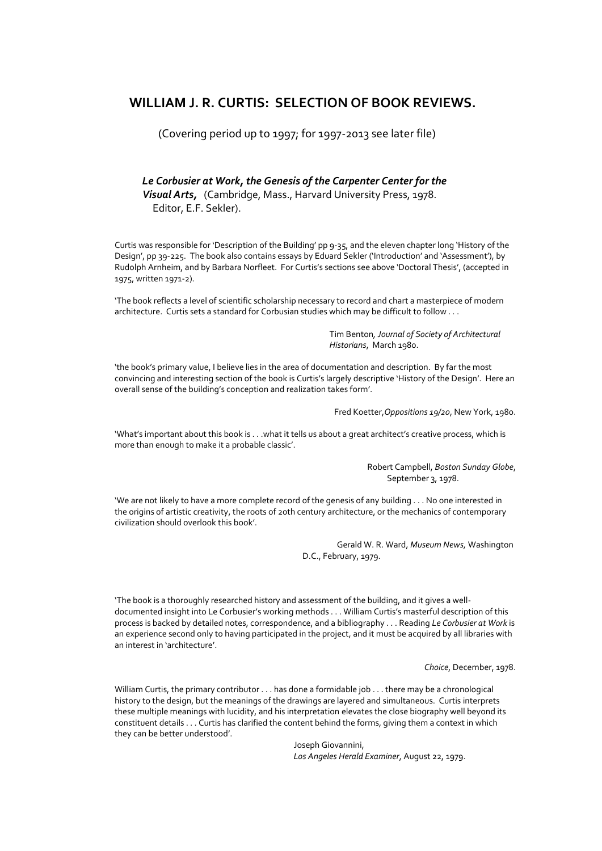## **WILLIAM J. R. CURTIS: SELECTION OF BOOK REVIEWS.**

(Covering period up to 1997; for 1997-2013 see later file)

 *Le Corbusier at Work, the Genesis of the Carpenter Center for the Visual Arts,* (Cambridge, Mass., Harvard University Press, 1978. Editor, E.F. Sekler).

Curtis was responsible for 'Description of the Building' pp 9-35, and the eleven chapter long 'History of the Design', pp 39-225. The book also contains essays by Eduard Sekler ('Introduction' and 'Assessment'), by Rudolph Arnheim, and by Barbara Norfleet. For Curtis's sections see above 'Doctoral Thesis', (accepted in 1975, written 1971-2).

'The book reflects a level of scientific scholarship necessary to record and chart a masterpiece of modern architecture. Curtis sets a standard for Corbusian studies which may be difficult to follow . . .

> Tim Benton*, Journal of Society of Architectural Historians*, March 1980.

'the book's primary value, I believe lies in the area of documentation and description. By far the most convincing and interesting section of the book is Curtis's largely descriptive 'History of the Design'. Here an overall sense of the building's conception and realization takes form'.

Fred Koetter,*Oppositions 19/20*, New York, 1980.

'What's important about this book is . . .what it tells us about a great architect's creative process, which is more than enough to make it a probable classic'.

> Robert Campbell, *Boston Sunday Globe*, September 3, 1978.

'We are not likely to have a more complete record of the genesis of any building . . . No one interested in the origins of artistic creativity, the roots of 20th century architecture, or the mechanics of contemporary civilization should overlook this book'.

> Gerald W. R. Ward, *Museum News,* Washington D.C., February, 1979.

'The book is a thoroughly researched history and assessment of the building, and it gives a welldocumented insight into Le Corbusier's working methods . . . William Curtis's masterful description of this process is backed by detailed notes, correspondence, and a bibliography . . . Reading *Le Corbusier at Work* is an experience second only to having participated in the project, and it must be acquired by all libraries with an interest in 'architecture'.

*Choice*, December, 1978.

William Curtis, the primary contributor . . . has done a formidable job . . . there may be a chronological history to the design, but the meanings of the drawings are layered and simultaneous. Curtis interprets these multiple meanings with lucidity, and his interpretation elevates the close biography well beyond its constituent details . . . Curtis has clarified the content behind the forms, giving them a context in which they can be better understood'.

> Joseph Giovannini, *Los Angeles Herald Examiner*, August 22, 1979.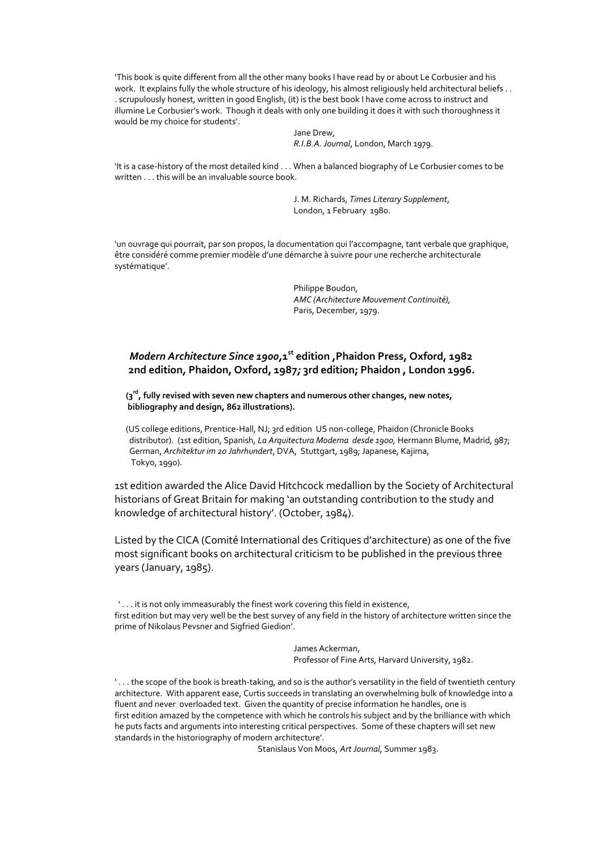'This book is quite different from all the other many books I have read by or about Le Corbusier and his work. It explains fully the whole structure of his ideology, his almost religiously held architectural beliefs.. . scrupulously honest, written in good English, (it) is the best book I have come across to instruct and illumine Le Corbusier's work. Though it deals with only one building it does it with such thoroughness it would be my choice for students'.

> Jane Drew, *R.I.B.A. Journal*, London, March 1979.

'It is a case-history of the most detailed kind . . . When a balanced biography of Le Corbusier comes to be written . . . this will be an invaluable source book.

> J. M. Richards, *Times Literary Supplement*, London, 1 February 1980.

'un ouvrage qui pourrait, par son propos, la documentation qui l'accompagne, tant verbale que graphique, être considéré comme premier modèle d'une démarche à suivre pour une recherche architecturale systématique'.

> Philippe Boudon, *AMC (Architecture Mouvement Continuité),* Paris, December, 1979.

## *Modern Architecture Since 1900,***1 st edition ,Phaidon Press, Oxford, 1982**  **2nd edition***,* **Phaidon, Oxford, 1987***;* **3rd edition; Phaidon , London 1996.**

 **(3rd, fully revised with seven new chapters and numerous other changes, new notes, bibliography and design, 862 illustrations).**

(US college editions, Prentice-Hall, NJ; 3rd edition US non-college, Phaidon (Chronicle Books distributor). (1st edition, Spanish, *La Arquitectura Moderna desde 1900,* Hermann Blume, Madrid, 987; German, *Architektur im 20 Jahrhundert*, DVA, Stuttgart, 1989; Japanese, Kajima, Tokyo, 1990).

1st edition awarded the Alice David Hitchcock medallion by the Society of Architectural historians of Great Britain for making 'an outstanding contribution to the study and knowledge of architectural history'. (October, 1984).

Listed by the CICA (Comité International des Critiques d'architecture) as one of the five most significant books on architectural criticism to be published in the previous three years (January, 1985).

 ' . . . it is not only immeasurably the finest work covering this field in existence, first edition but may very well be the best survey of any field in the history of architecture written since the prime of Nikolaus Pevsner and Sigfried Giedion'.

> James Ackerman, Professor of Fine Arts, Harvard University, 1982.

' . . . the scope of the book is breath-taking, and so is the author's versatility in the field of twentieth century architecture. With apparent ease, Curtis succeeds in translating an overwhelming bulk of knowledge into a fluent and never overloaded text. Given the quantity of precise information he handles, one is first edition amazed by the competence with which he controls his subject and by the brilliance with which he puts facts and arguments into interesting critical perspectives. Some of these chapters will set new standards in the historiography of modern architecture'.

Stanislaus Von Moos, *Art Journal*, Summer 1983.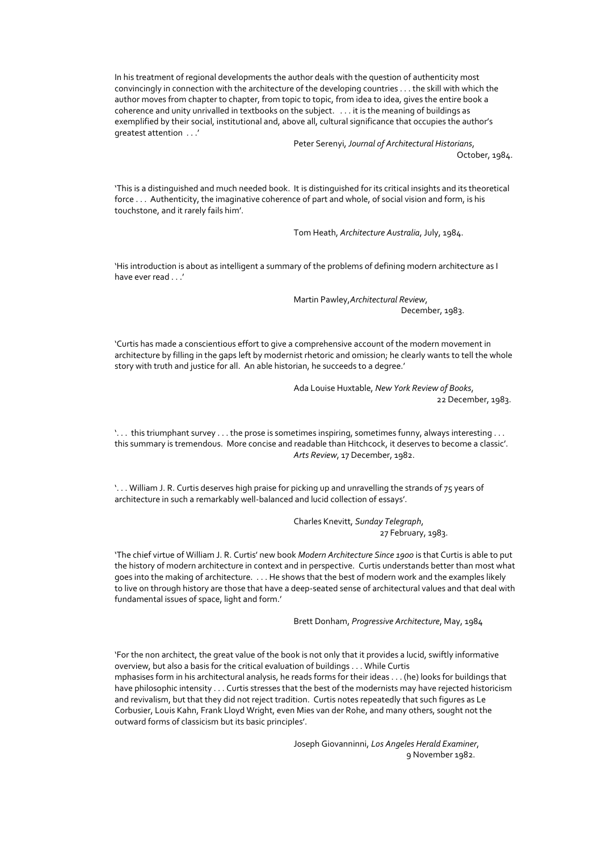In his treatment of regional developments the author deals with the question of authenticity most convincingly in connection with the architecture of the developing countries . . . the skill with which the author moves from chapter to chapter, from topic to topic, from idea to idea, gives the entire book a coherence and unity unrivalled in textbooks on the subject. . . . it is the meaning of buildings as exemplified by their social, institutional and, above all, cultural significance that occupies the author's greatest attention . . .'

> Peter Serenyi, *Journal of Architectural Historians*, October, 1984.

'This is a distinguished and much needed book. It is distinguished for its critical insights and its theoretical force . . . Authenticity, the imaginative coherence of part and whole, of social vision and form, is his touchstone, and it rarely fails him'.

Tom Heath, *Architecture Australia*, July, 1984.

'His introduction is about as intelligent a summary of the problems of defining modern architecture as I have ever read . . .'

> Martin Pawley,*Architectural Review*, December, 1983.

'Curtis has made a conscientious effort to give a comprehensive account of the modern movement in architecture by filling in the gaps left by modernist rhetoric and omission; he clearly wants to tell the whole story with truth and justice for all. An able historian, he succeeds to a degree.'

> Ada Louise Huxtable, *New York Review of Books*, 22 December, 1983.

'. . . this triumphant survey . . . the prose is sometimes inspiring, sometimes funny, always interesting . . . this summary is tremendous. More concise and readable than Hitchcock, it deserves to become a classic'. *Arts Review*, 17 December, 1982.

'. . . William J. R. Curtis deserves high praise for picking up and unravelling the strands of 75 years of architecture in such a remarkably well-balanced and lucid collection of essays'.

> Charles Knevitt, *Sunday Telegraph*, 27 February, 1983.

'The chief virtue of William J. R. Curtis' new book *Modern Architecture Since 1900* is that Curtis is able to put the history of modern architecture in context and in perspective. Curtis understands better than most what goes into the making of architecture. . . . He shows that the best of modern work and the examples likely to live on through history are those that have a deep-seated sense of architectural values and that deal with fundamental issues of space, light and form.'

Brett Donham, *Progressive Architecture*, May, 1984

'For the non architect, the great value of the book is not only that it provides a lucid, swiftly informative overview, but also a basis for the critical evaluation of buildings . . . While Curtis mphasises form in his architectural analysis, he reads forms for their ideas . . . (he) looks for buildings that have philosophic intensity . . . Curtis stresses that the best of the modernists may have rejected historicism and revivalism, but that they did not reject tradition. Curtis notes repeatedly that such figures as Le Corbusier, Louis Kahn, Frank Lloyd Wright, even Mies van der Rohe, and many others, sought not the outward forms of classicism but its basic principles'.

> Joseph Giovanninni, *Los Angeles Herald Examiner*, 9 November 1982.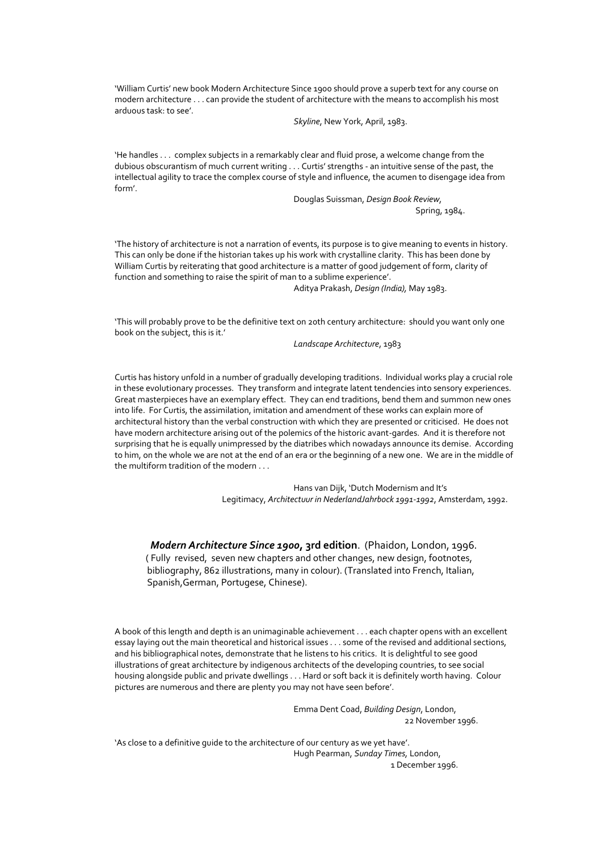'William Curtis' new book Modern Architecture Since 1900 should prove a superb text for any course on modern architecture . . . can provide the student of architecture with the means to accomplish his most arduous task: to see'.

*Skyline*, New York, April, 1983.

'He handles . . . complex subjects in a remarkably clear and fluid prose, a welcome change from the dubious obscurantism of much current writing . . . Curtis' strengths - an intuitive sense of the past, the intellectual agility to trace the complex course of style and influence, the acumen to disengage idea from form'.

> Douglas Suissman, *Design Book Review,* Spring, 1984.

'The history of architecture is not a narration of events, its purpose is to give meaning to events in history. This can only be done if the historian takes up his work with crystalline clarity. This has been done by William Curtis by reiterating that good architecture is a matter of good judgement of form, clarity of function and something to raise the spirit of man to a sublime experience'.

Aditya Prakash, *Design (India),* May 1983.

'This will probably prove to be the definitive text on 20th century architecture: should you want only one book on the subject, this is it.'

*Landscape Architecture*, 1983

Curtis has history unfold in a number of gradually developing traditions. Individual works play a crucial role in these evolutionary processes. They transform and integrate latent tendencies into sensory experiences. Great masterpieces have an exemplary effect. They can end traditions, bend them and summon new ones into life. For Curtis, the assimilation, imitation and amendment of these works can explain more of architectural history than the verbal construction with which they are presented or criticised. He does not have modern architecture arising out of the polemics of the historic avant-gardes. And it is therefore not surprising that he is equally unimpressed by the diatribes which nowadays announce its demise. According to him, on the whole we are not at the end of an era or the beginning of a new one. We are in the middle of the multiform tradition of the modern . . .

> Hans van Dijk, 'Dutch Modernism and It's Legitimacy, *Architectuur in NederlandJahrbock 1991-1992*, Amsterdam, 1992.

*Modern Architecture Since 1900***, 3rd edition**. (Phaidon, London, 1996.

 ( Fully revised, seven new chapters and other changes, new design, footnotes, bibliography, 862 illustrations, many in colour). (Translated into French, Italian, Spanish,German, Portugese, Chinese).

A book of this length and depth is an unimaginable achievement . . . each chapter opens with an excellent essay laying out the main theoretical and historical issues . . . some of the revised and additional sections, and his bibliographical notes, demonstrate that he listens to his critics. It is delightful to see good illustrations of great architecture by indigenous architects of the developing countries, to see social housing alongside public and private dwellings . . . Hard or soft back it is definitely worth having. Colour pictures are numerous and there are plenty you may not have seen before'.

> Emma Dent Coad, *Building Design*, London, 22 November 1996.

'As close to a definitive guide to the architecture of our century as we yet have'. Hugh Pearman, *Sunday Times,* London, 1 December 1996.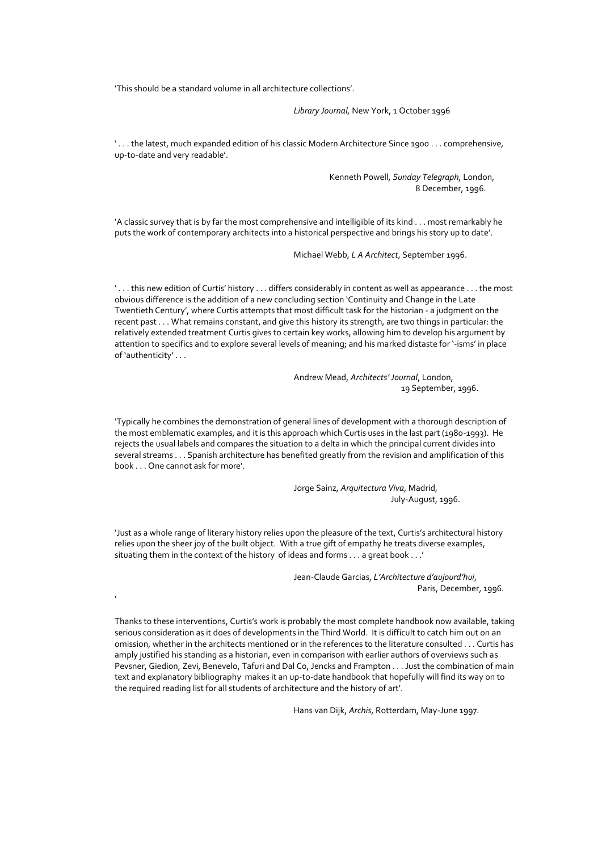'This should be a standard volume in all architecture collections'.

*Library Journal,* New York, 1 October 1996

' . . . the latest, much expanded edition of his classic Modern Architecture Since 1900 . . . comprehensive, up-to-date and very readable'.

> Kenneth Powell, *Sunday Telegraph,* London, 8 December, 1996.

'A classic survey that is by far the most comprehensive and intelligible of its kind . . . most remarkably he puts the work of contemporary architects into a historical perspective and brings his story up to date'.

Michael Webb, *L A Architect*, September 1996.

' . . . this new edition of Curtis' history . . . differs considerably in content as well as appearance . . . the most obvious difference is the addition of a new concluding section 'Continuity and Change in the Late Twentieth Century', where Curtis attempts that most difficult task for the historian - a judgment on the recent past . . . What remains constant, and give this history its strength, are two things in particular: the relatively extended treatment Curtis gives to certain key works, allowing him to develop his argument by attention to specifics and to explore several levels of meaning; and his marked distaste for '-isms' in place of 'authenticity' . . .

> Andrew Mead, *Architects' Journal*, London, 19 September, 1996.

'Typically he combines the demonstration of general lines of development with a thorough description of the most emblematic examples, and it is this approach which Curtis uses in the last part (1980-1993). He rejects the usual labels and compares the situation to a delta in which the principal current divides into several streams . . . Spanish architecture has benefited greatly from the revision and amplification of this book . . . One cannot ask for more'.

> Jorge Sainz, *Arquitectura Viva*, Madrid, July-August, 1996.

'Just as a whole range of literary history relies upon the pleasure of the text, Curtis's architectural history relies upon the sheer joy of the built object. With a true gift of empathy he treats diverse examples, situating them in the context of the history of ideas and forms . . . a great book . . .'

 $\ddot{\phantom{0}}$ 

Jean-Claude Garcias, *L'Architecture d'aujourd'hui*, Paris, December, 1996.

Thanks to these interventions, Curtis's work is probably the most complete handbook now available, taking serious consideration as it does of developments in the Third World. It is difficult to catch him out on an omission, whether in the architects mentioned or in the references to the literature consulted . . . Curtis has amply justified his standing as a historian, even in comparison with earlier authors of overviews such as Pevsner, Giedion, Zevi, Benevelo, Tafuri and Dal Co, Jencks and Frampton . . . Just the combination of main text and explanatory bibliography makes it an up-to-date handbook that hopefully will find its way on to the required reading list for all students of architecture and the history of art'.

Hans van Dijk, *Archis*, Rotterdam, May-June 1997.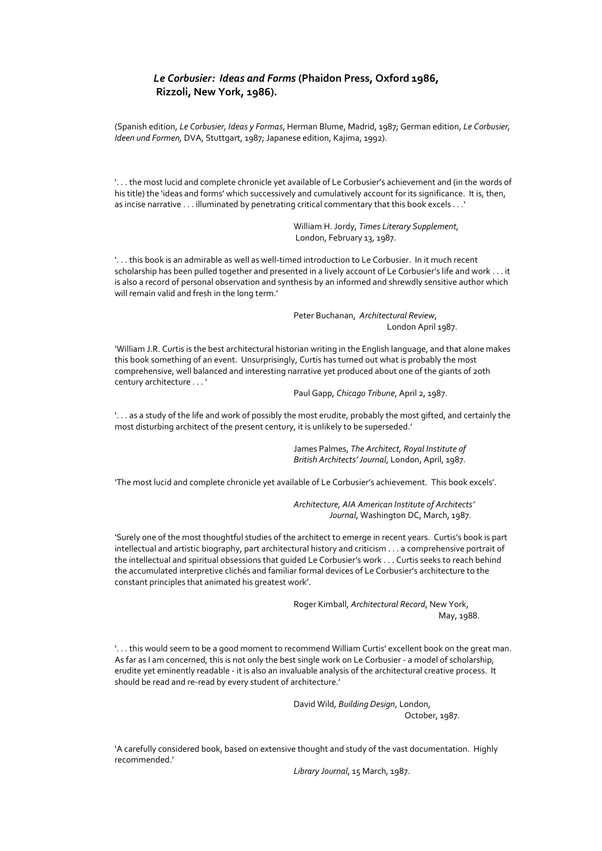## *Le Corbusier: Ideas and Forms* **(Phaidon Press, Oxford 1986, Rizzoli, New York, 1986).**

(Spanish edition, *Le Corbusier, Ideas y Formas*, Herman Blume, Madrid, 1987; German edition, *Le Corbusier, Ideen und Formen,* DVA, Stuttgart, 1987; Japanese edition, Kajima, 1992).

'. . . the most lucid and complete chronicle yet available of Le Corbusier's achievement and (in the words of his title) the 'ideas and forms' which successively and cumulatively account for its significance. It is, then, as incise narrative . . . illuminated by penetrating critical commentary that this book excels . . .'

> William H. Jordy, *Times Literary Supplement,* London, February 13, 1987.

'. . . this book is an admirable as well as well-timed introduction to Le Corbusier. In it much recent scholarship has been pulled together and presented in a lively account of Le Corbusier's life and work . . . it is also a record of personal observation and synthesis by an informed and shrewdly sensitive author which will remain valid and fresh in the long term.'

> Peter Buchanan, *Architectural Review*, London April 1987.

'William J.R. Curtis is the best architectural historian writing in the English language, and that alone makes this book something of an event. Unsurprisingly, Curtis has turned out what is probably the most comprehensive, well balanced and interesting narrative yet produced about one of the giants of 20th century architecture . . . '

Paul Gapp, *Chicago Tribune*, April 2, 1987.

'. . . as a study of the life and work of possibly the most erudite, probably the most gifted, and certainly the most disturbing architect of the present century, it is unlikely to be superseded.'

> James Palmes, *The Architect, Royal Institute of British Architects' Journal*, London, April, 1987.

'The most lucid and complete chronicle yet available of Le Corbusier's achievement. This book excels'.

*Architecture, AIA American Institute of Architects' Journal*, Washington DC, March, 1987.

'Surely one of the most thoughtful studies of the architect to emerge in recent years. Curtis's book is part intellectual and artistic biography, part architectural history and criticism . . . a comprehensive portrait of the intellectual and spiritual obsessions that guided Le Corbusier's work . . . Curtis seeks to reach behind the accumulated interpretive clichés and familiar formal devices of Le Corbusier's architecture to the constant principles that animated his greatest work'.

> Roger Kimball, *Architectural Record*, New York, May, 1988.

'. . . this would seem to be a good moment to recommend William Curtis' excellent book on the great man. As far as I am concerned, this is not only the best single work on Le Corbusier - a model of scholarship, erudite yet eminently readable - it is also an invaluable analysis of the architectural creative process. It should be read and re-read by every student of architecture.'

David Wild, *Building Design*, London,

October, 1987.

'A carefully considered book, based on extensive thought and study of the vast documentation. Highly recommended.'

*Library Journal*, 15 March, 1987.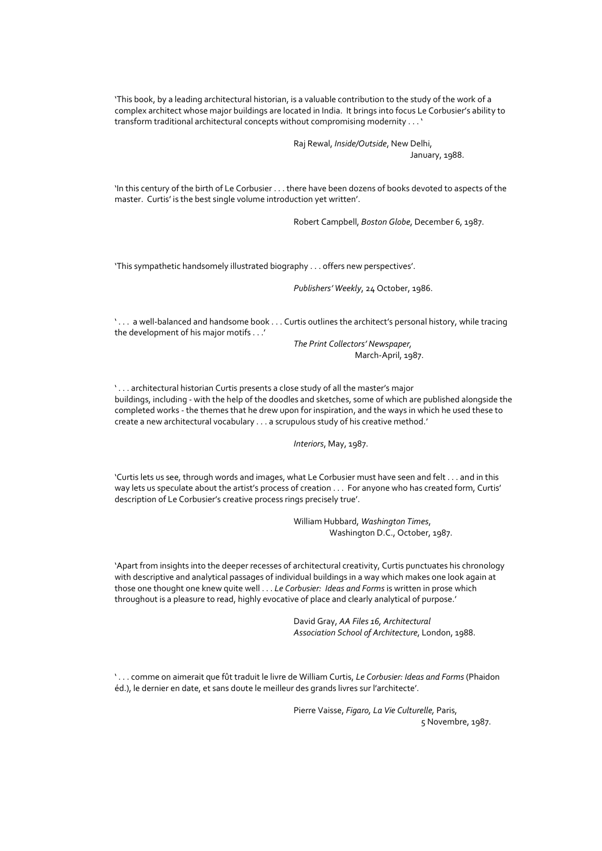'This book, by a leading architectural historian, is a valuable contribution to the study of the work of a complex architect whose major buildings are located in India. It brings into focus Le Corbusier's ability to transform traditional architectural concepts without compromising modernity . . . '

> Raj Rewal, *Inside/Outside*, New Delhi, January, 1988.

'In this century of the birth of Le Corbusier . . . there have been dozens of books devoted to aspects of the master. Curtis' is the best single volume introduction yet written'.

Robert Campbell, *Boston Globe*, December 6, 1987.

'This sympathetic handsomely illustrated biography . . . offers new perspectives'.

*Publishers' Weekly*, 24 October, 1986.

' . . . a well-balanced and handsome book . . . Curtis outlines the architect's personal history, while tracing the development of his major motifs . . .'

> *The Print Collectors' Newspaper,* March-April, 1987.

'... architectural historian Curtis presents a close study of all the master's major buildings, including - with the help of the doodles and sketches, some of which are published alongside the completed works - the themes that he drew upon for inspiration, and the ways in which he used these to create a new architectural vocabulary . . . a scrupulous study of his creative method.'

*Interiors*, May, 1987.

'Curtis lets us see, through words and images, what Le Corbusier must have seen and felt . . . and in this way lets us speculate about the artist's process of creation . . . For anyone who has created form, Curtis' description of Le Corbusier's creative process rings precisely true'.

> William Hubbard, *Washington Times*, Washington D.C., October, 1987.

'Apart from insights into the deeper recesses of architectural creativity, Curtis punctuates his chronology with descriptive and analytical passages of individual buildings in a way which makes one look again at those one thought one knew quite well . . . *Le Corbusier: Ideas and Forms* is written in prose which throughout is a pleasure to read, highly evocative of place and clearly analytical of purpose.'

> David Gray, *AA Files 16, Architectural Association School of Architecture*, London, 1988.

' . . . comme on aimerait que fût traduit le livre de William Curtis, *Le Corbusier: Ideas and Forms* (Phaidon éd.), le dernier en date, et sans doute le meilleur des grands livres sur l'architecte'.

> Pierre Vaisse, *Figaro, La Vie Culturelle,* Paris, 5 Novembre, 1987.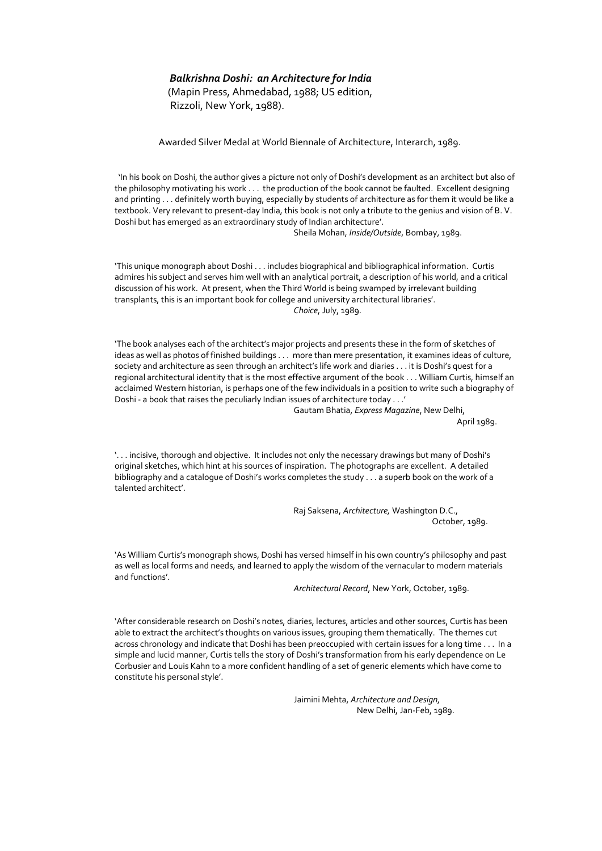#### *Balkrishna Doshi: an Architecture for India*

 (Mapin Press, Ahmedabad, 1988; US edition, Rizzoli, New York, 1988).

Awarded Silver Medal at World Biennale of Architecture, Interarch, 1989.

 'In his book on Doshi, the author gives a picture not only of Doshi's development as an architect but also of the philosophy motivating his work . . . the production of the book cannot be faulted. Excellent designing and printing . . . definitely worth buying, especially by students of architecture as for them it would be like a textbook. Very relevant to present-day India, this book is not only a tribute to the genius and vision of B. V. Doshi but has emerged as an extraordinary study of Indian architecture'.

Sheila Mohan, *Inside/Outside*, Bombay, 1989.

'This unique monograph about Doshi . . . includes biographical and bibliographical information. Curtis admires his subject and serves him well with an analytical portrait, a description of his world, and a critical discussion of his work. At present, when the Third World is being swamped by irrelevant building transplants, this is an important book for college and university architectural libraries'. *Choice*, July, 1989.

'The book analyses each of the architect's major projects and presents these in the form of sketches of ideas as well as photos of finished buildings . . . more than mere presentation, it examines ideas of culture, society and architecture as seen through an architect's life work and diaries . . . it is Doshi's quest for a regional architectural identity that is the most effective argument of the book . . . William Curtis, himself an acclaimed Western historian, is perhaps one of the few individuals in a position to write such a biography of Doshi - a book that raises the peculiarly Indian issues of architecture today . . .'

> Gautam Bhatia, *Express Magazine*, New Delhi, April 1989.

'. . . incisive, thorough and objective. It includes not only the necessary drawings but many of Doshi's original sketches, which hint at his sources of inspiration. The photographs are excellent. A detailed bibliography and a catalogue of Doshi's works completes the study . . . a superb book on the work of a talented architect'.

> Raj Saksena, *Architecture,* Washington D.C., October, 1989.

'As William Curtis's monograph shows, Doshi has versed himself in his own country's philosophy and past as well as local forms and needs, and learned to apply the wisdom of the vernacular to modern materials and functions'.

*Architectural Record*, New York, October, 1989.

'After considerable research on Doshi's notes, diaries, lectures, articles and other sources, Curtis has been able to extract the architect's thoughts on various issues, grouping them thematically. The themes cut across chronology and indicate that Doshi has been preoccupied with certain issues for a long time . . . In a simple and lucid manner, Curtis tells the story of Doshi's transformation from his early dependence on Le Corbusier and Louis Kahn to a more confident handling of a set of generic elements which have come to constitute his personal style'.

> Jaimini Mehta, *Architecture and Design,* New Delhi, Jan-Feb, 1989.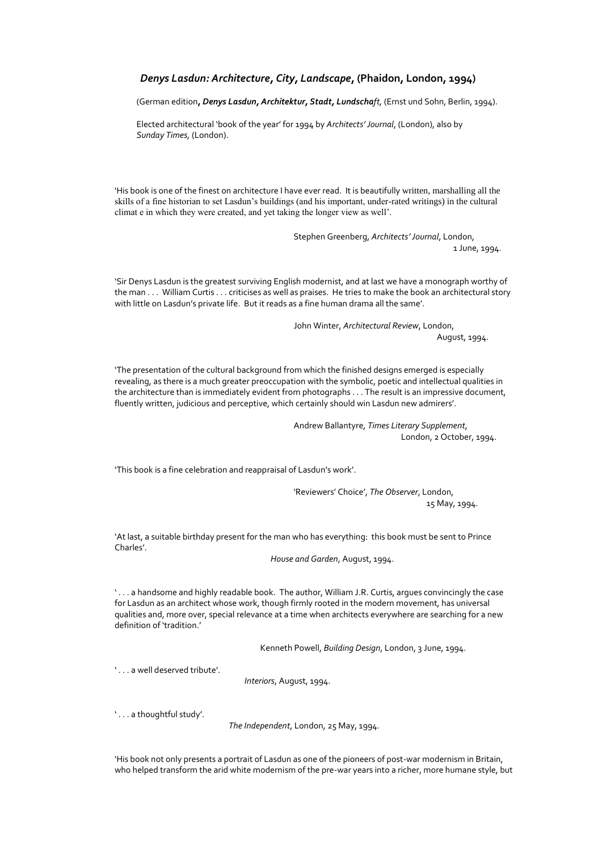#### *Denys Lasdun: Architecture, City, Landscape***, (Phaidon, London, 1994)**

(German edition**,** *Denys Lasdun, Architektur, Stadt, Lundschaft,* (Ernst und Sohn, Berlin, 1994).

 Elected architectural 'book of the year' for 1994 by *Architects' Journal*, (London), also by *Sunday Times,* (London).

'His book is one of the finest on architecture I have ever read. It is beautifully written, marshalling all the skills of a fine historian to set Lasdun's buildings (and his important, under-rated writings) in the cultural climat e in which they were created, and yet taking the longer view as well'.

> Stephen Greenberg, *Architects' Journal*, London, 1 June, 1994.

'Sir Denys Lasdun is the greatest surviving English modernist, and at last we have a monograph worthy of the man . . . William Curtis . . . criticises as well as praises. He tries to make the book an architectural story with little on Lasdun's private life. But it reads as a fine human drama all the same'.

> John Winter, *Architectural Review*, London, August, 1994.

'The presentation of the cultural background from which the finished designs emerged is especially revealing, as there is a much greater preoccupation with the symbolic, poetic and intellectual qualities in the architecture than is immediately evident from photographs . . . The result is an impressive document, fluently written, judicious and perceptive, which certainly should win Lasdun new admirers'.

> Andrew Ballantyre, *Times Literary Supplement*, London, 2 October, 1994.

'This book is a fine celebration and reappraisal of Lasdun's work'.

'Reviewers' Choice', *The Observer*, London, 15 May, 1994.

'At last, a suitable birthday present for the man who has everything: this book must be sent to Prince Charles'.

*House and Garden*, August, 1994.

' . . . a handsome and highly readable book. The author, William J.R. Curtis, argues convincingly the case for Lasdun as an architect whose work, though firmly rooted in the modern movement, has universal qualities and, more over, special relevance at a time when architects everywhere are searching for a new definition of 'tradition.'

Kenneth Powell, *Building Design*, London, 3 June, 1994.

' . . . a well deserved tribute'.

*Interiors*, August, 1994.

'... a thoughtful study'.

*The Independent*, London, 25 May, 1994.

'His book not only presents a portrait of Lasdun as one of the pioneers of post-war modernism in Britain, who helped transform the arid white modernism of the pre-war years into a richer, more humane style, but